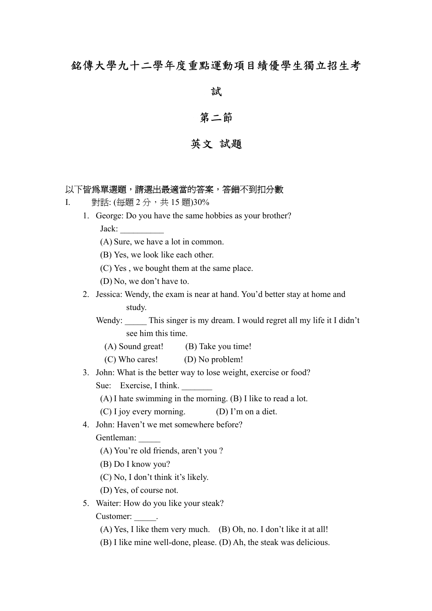# 銘傳大學九十二學年度重點運動項目績優學生獨立招生考

## 試

## 第二節

# 英文 試題

|    |    | 以下皆爲單選題,請選出最適當的答案,答錯不到扣分數                                               |
|----|----|-------------------------------------------------------------------------|
| I. |    | 對話: (每題2分,共15題)30%                                                      |
|    |    | 1. George: Do you have the same hobbies as your brother?                |
|    |    | Jack:                                                                   |
|    |    | (A) Sure, we have a lot in common.                                      |
|    |    | (B) Yes, we look like each other.                                       |
|    |    | (C) Yes, we bought them at the same place.                              |
|    |    | (D) No, we don't have to.                                               |
|    | 2. | Jessica: Wendy, the exam is near at hand. You'd better stay at home and |
|    |    | study.                                                                  |
|    |    | Wendy: This singer is my dream. I would regret all my life it I didn't  |
|    |    | see him this time.                                                      |
|    |    | (A) Sound great! (B) Take you time!                                     |
|    |    | (C) Who cares! (D) No problem!                                          |
|    | 3. | John: What is the better way to lose weight, exercise or food?          |
|    |    | Sue: Exercise, I think.                                                 |
|    |    | $(A)$ I hate swimming in the morning. $(B)$ I like to read a lot.       |
|    |    | (C) I joy every morning.<br>(D) I'm on a diet.                          |
|    | 4. | John: Haven't we met somewhere before?                                  |
|    |    | Gentleman:                                                              |
|    |    | (A) You're old friends, aren't you?                                     |
|    |    | (B) Do I know you?                                                      |
|    |    | (C) No, I don't think it's likely.                                      |
|    |    | (D) Yes, of course not.                                                 |
|    | 5. | Waiter: How do you like your steak?                                     |
|    |    | Customer: .                                                             |
|    |    | (A) Yes, I like them very much. (B) Oh, no. I don't like it at all!     |
|    |    | (B) I like mine well-done, please. (D) Ah, the steak was delicious.     |
|    |    |                                                                         |
|    |    |                                                                         |
|    |    |                                                                         |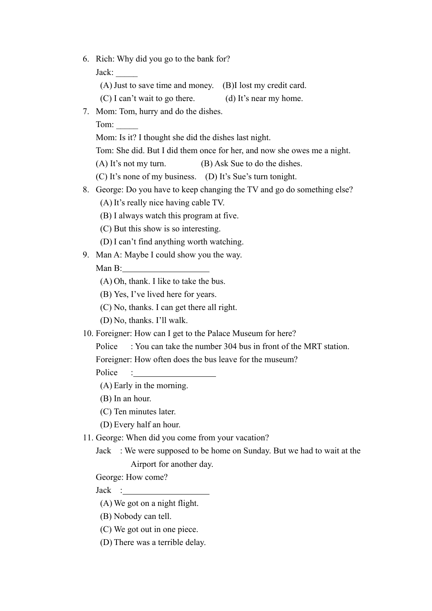6. Rich: Why did you go to the bank for?

Jack: \_\_\_\_\_

(A) Just to save time and money. (B)I lost my credit card.

- (C) I can't wait to go there. (d) It's near my home.
- 7. Mom: Tom, hurry and do the dishes.

Tom:

Mom: Is it? I thought she did the dishes last night.

Tom: She did. But I did them once for her, and now she owes me a night.

(A) It's not my turn. (B) Ask Sue to do the dishes.

(C) It's none of my business. (D) It's Sue's turn tonight.

- 8. George: Do you have to keep changing the TV and go do something else?
	- (A) It's really nice having cable TV.
	- (B) I always watch this program at five.
	- (C) But this show is so interesting.
	- (D) I can't find anything worth watching.
- 9. Man A: Maybe I could show you the way.

### Man B:

(A) Oh, thank. I like to take the bus.

(B) Yes, I've lived here for years.

(C) No, thanks. I can get there all right.

(D) No, thanks. I'll walk.

10. Foreigner: How can I get to the Palace Museum for here?

Police : You can take the number 304 bus in front of the MRT station.

Foreigner: How often does the bus leave for the museum?

Police :

(A) Early in the morning.

(B) In an hour.

(C) Ten minutes later.

(D) Every half an hour.

11. George: When did you come from your vacation?

Jack : We were supposed to be home on Sunday. But we had to wait at the Airport for another day.

George: How come?

Jack :

(A) We got on a night flight.

(B) Nobody can tell.

(C) We got out in one piece.

(D) There was a terrible delay.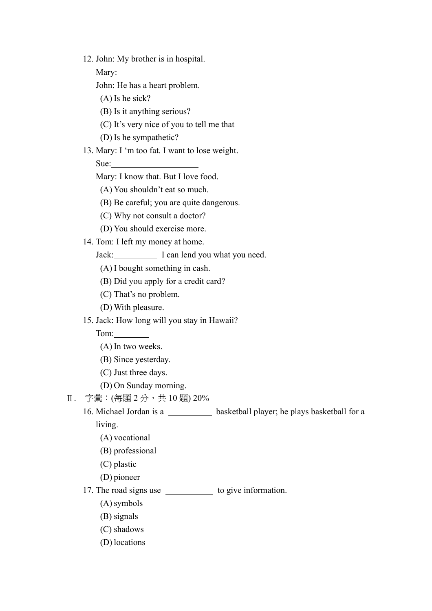12. John: My brother is in hospital.

Mary:

John: He has a heart problem.

(A) Is he sick?

(B) Is it anything serious?

(C) It's very nice of you to tell me that

(D) Is he sympathetic?

### 13. Mary: I 'm too fat. I want to lose weight.

Sue:

Mary: I know that. But I love food.

(A) You shouldn't eat so much.

(B) Be careful; you are quite dangerous.

(C) Why not consult a doctor?

(D) You should exercise more.

14. Tom: I left my money at home.

Jack: I can lend you what you need.

(A) I bought something in cash.

(B) Did you apply for a credit card?

(C) That's no problem.

(D) With pleasure.

15. Jack: How long will you stay in Hawaii?

Tom:

(A) In two weeks.

(B) Since yesterday.

(C) Just three days.

(D) On Sunday morning.

Ⅱ. 字彙: (每題 2分, 共10題) 20%

16. Michael Jordan is a \_\_\_\_\_\_\_\_\_\_\_ basketball player; he plays basketball for a

living.

(A) vocational

(B) professional

(C) plastic

(D) pioneer

17. The road signs use \_\_\_\_\_\_\_\_\_\_\_\_\_ to give information.

(A) symbols

(B) signals

(C) shadows

(D) locations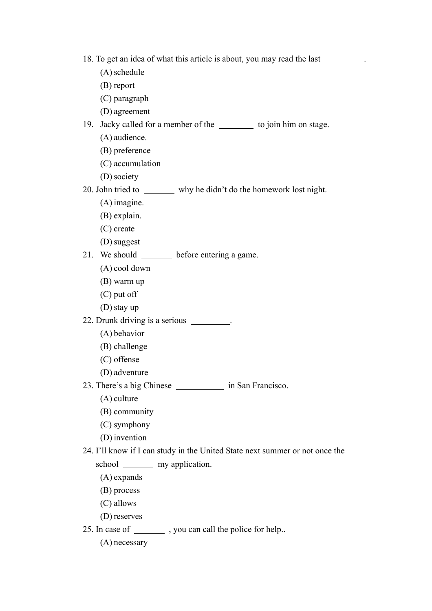- 18. To get an idea of what this article is about, you may read the last .
	- (A) schedule
	- (B) report
	- (C) paragraph
	- (D) agreement
- 19. Jacky called for a member of the to join him on stage.
	- (A) audience.
	- (B) preference
	- (C) accumulation
	- (D) society
- 20. John tried to why he didn't do the homework lost night.
	- (A) imagine.
	- (B) explain.
	- (C) create
	- (D) suggest
- 21. We should **before entering a game.** 
	- (A) cool down
	- (B) warm up
	- (C) put off
	- (D) stay up
- 22. Drunk driving is a serious .
	- (A) behavior
	- (B) challenge
	- (C) offense
	- (D) adventure
- 23. There's a big Chinese in San Francisco.
	- (A) culture
	- (B) community
	- (C) symphony
	- (D) invention
- 24. I'll know if I can study in the United State next summer or not once the school my application.
	- (A) expands
	- (B) process
	- (C) allows
	- (D) reserves
- 25. In case of \_\_\_\_\_\_\_\_\_\_, you can call the police for help..
	- (A) necessary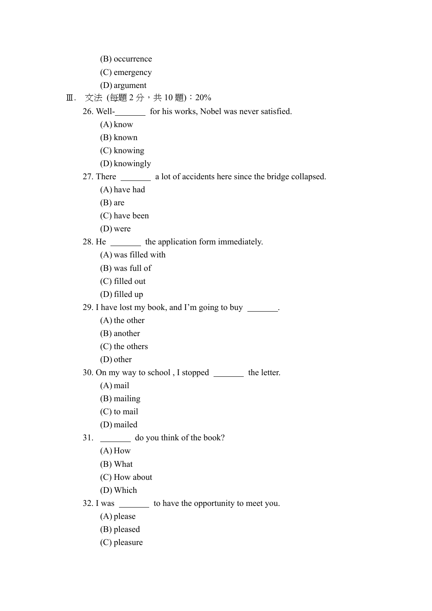- (B) occurrence
- (C) emergency
- (D) argument

Ⅲ. 文法 (每題 2 分, 共 10 題): 20%

26. Well- for his works, Nobel was never satisfied.

- (A) know
- (B) known
- (C) knowing
- (D) knowingly

27. There \_\_\_\_\_\_\_\_ a lot of accidents here since the bridge collapsed.

- (A) have had
- (B) are
- (C) have been
- (D) were

#### 28. He the application form immediately.

- (A) was filled with
- (B) was full of
- (C) filled out
- (D) filled up

29. I have lost my book, and I'm going to buy .

- (A) the other
- (B) another
- (C) the others
- (D) other
- 30. On my way to school, I stopped \_\_\_\_\_\_\_\_ the letter.
	- (A) mail
	- (B) mailing
	- (C) to mail
	- (D) mailed
- 31. do you think of the book?
	- (A) How
	- (B) What
	- (C) How about
	- (D) Which

### 32. I was \_\_\_\_\_\_\_\_ to have the opportunity to meet you.

- (A) please
- (B) pleased
- (C) pleasure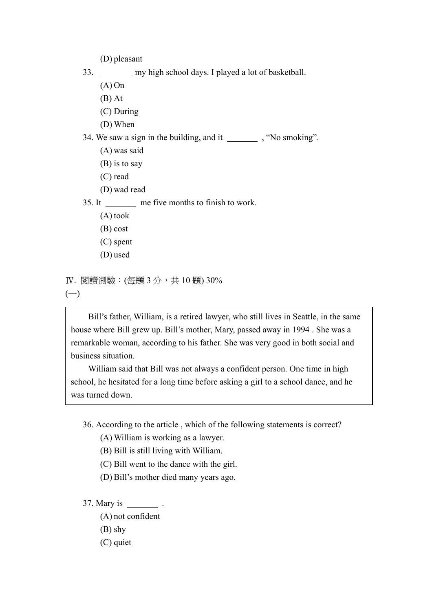(D) pleasant

- 33. my high school days. I played a lot of basketball.
	- (A) On
	- (B) At
	- (C) During
	- (D) When

34. We saw a sign in the building, and it  $\qquad$ , "No smoking".

- (A) was said
- (B) is to say
- (C) read
- (D) wad read

35. It me five months to finish to work.

- (A) took
- (B) cost
- (C) spent
- (D) used

```
IV. 閱讀測驗: (每題 3分, 共 10題) 30%
```
 $(-)$ 

 Bill's father, William, is a retired lawyer, who still lives in Seattle, in the same house where Bill grew up. Bill's mother, Mary, passed away in 1994 . She was a remarkable woman, according to his father. She was very good in both social and business situation.

 William said that Bill was not always a confident person. One time in high school, he hesitated for a long time before asking a girl to a school dance, and he was turned down.

36. According to the article , which of the following statements is correct?

(A) William is working as a lawyer.

- (B) Bill is still living with William.
- (C) Bill went to the dance with the girl.
- (D) Bill's mother died many years ago.

#### 37. Mary is \_\_\_\_\_\_\_\_\_\_\_\_.

- (A) not confident
- (B) shy
- (C) quiet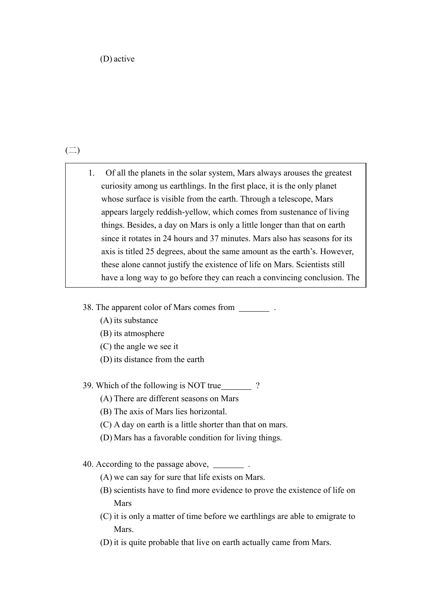### $\left(\square\right)$

- 1. Of all the planets in the solar system, Mars always arouses the greatest curiosity among us earthlings. In the first place, it is the only planet whose surface is visible from the earth. Through a telescope, Mars appears largely reddish-yellow, which comes from sustenance of living things. Besides, a day on Mars is only a little longer than that on earth since it rotates in 24 hours and 37 minutes. Mars also has seasons for its axis is titled 25 degrees, about the same amount as the earth's. However, these alone cannot justify the existence of life on Mars. Scientists still have a long way to go before they can reach a convincing conclusion. The
- 38. The apparent color of Mars comes from .
	- (A) its substance
	- (B) its atmosphere
	- (C) the angle we see it
	- (D) its distance from the earth
- 39. Which of the following is NOT true ?
	- (A) There are different seasons on Mars
	- (B) The axis of Mars lies horizontal.
	- (C) A day on earth is a little shorter than that on mars.
	- (D) Mars has a favorable condition for living things.
- 40. According to the passage above, .
	- (A) we can say for sure that life exists on Mars.
	- (B) scientists have to find more evidence to prove the existence of life on Mars
	- (C) it is only a matter of time before we earthlings are able to emigrate to Mars.
	- (D) it is quite probable that live on earth actually came from Mars.